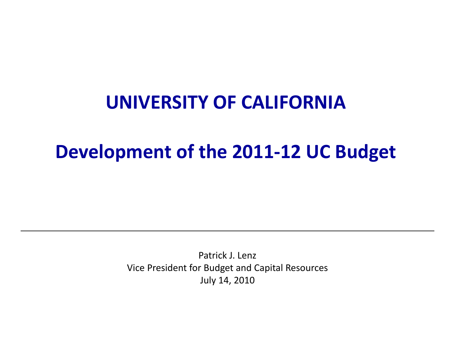#### **UNIVERSITY OF CALIFORNIA**

#### **Development of the 2011‐12 UC Budget**

Patrick J. Lenz Vice President for Budget and Capital Resources July 14, 2010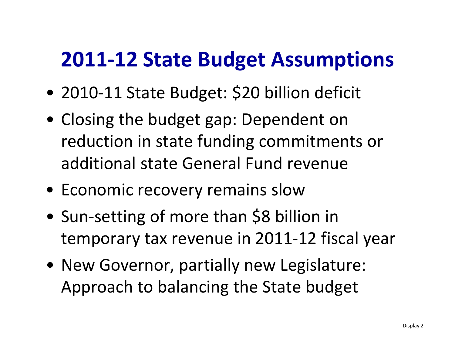### **2011‐12 State Budget Assumptions**

- 2010‐11 State Budget: \$20 billion deficit
- Closing the budget gap: Dependent on reduction in state funding commitments or additional state General Fund revenue
- Economic recovery remains slow
- • Sun‐setting of more than \$8 billion in temporary tax revenue in 2011‐12 fiscal year
- New Governor, partially new Legislature: Approach to balancing the State budget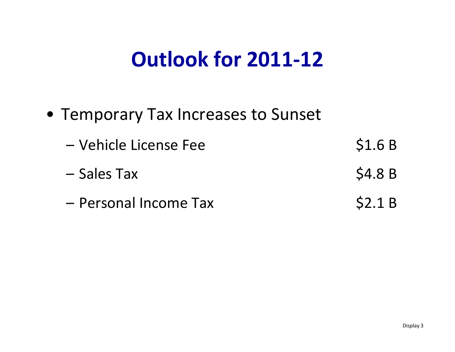## **Outlook for 2011‐12**

- Temporary Tax Increases to Sunset
	- – Vehicle License Fee \$1.6 B – Sales $$4.8 B$ - Personal Income Tax \$2.1 B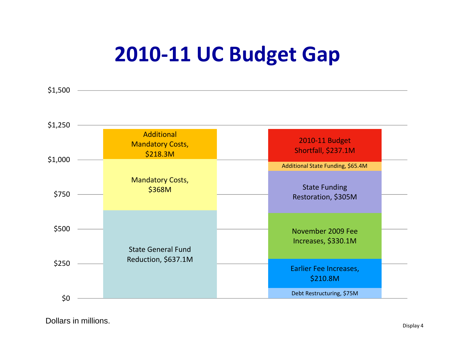# **2010‐11 UC Budget Gap**



Dollars in millions.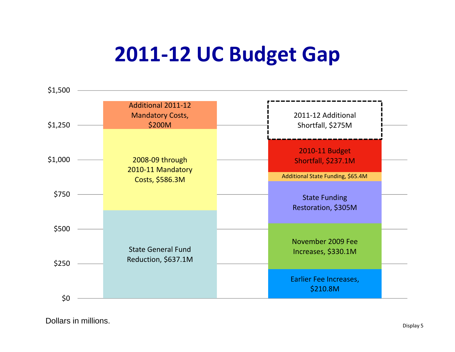# **2011‐12 UC Budget Gap**



Dollars in millions. The contract of the contract of the contract of the contract of the contract of the contract of the contract of the contract of the contract of the contract of the contract of the contract of the contr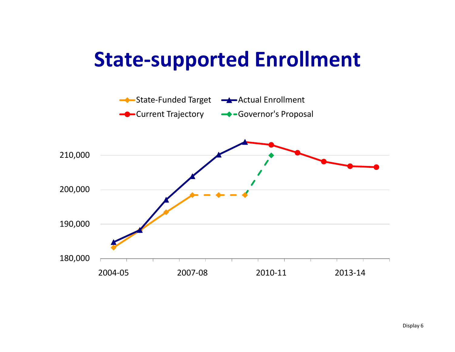### **State‐supported Enrollment**

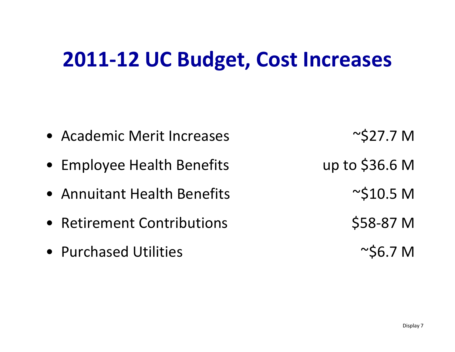## **2011‐12 UC Budget, Cost Increases**

- Academic Merit Increases  $\sim$  \$27.7 M
- Employee Health Benefits up to \$36.6 M
- Annuitant Health
- Retirement Contributions
- Purchased Utilities  $\sim$ \$6.7 M

 $\sim$ \$10.5 M

\$58‐87 M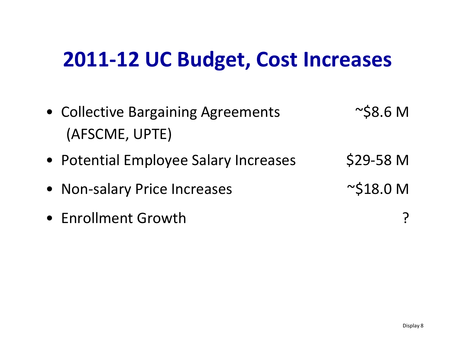## **2011‐12 UC Budget, Cost Increases**

| • Collective Bargaining Agreements    | $\sim$ \$8.6 M  |
|---------------------------------------|-----------------|
| (AFSCME, UPTE)                        |                 |
| • Potential Employee Salary Increases | \$29-58 M       |
| • Non-salary Price Increases          | $\sim$ \$18.0 M |
| • Enrollment Growth                   |                 |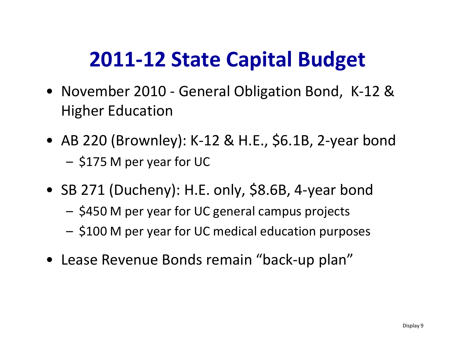# **2011‐12 State Capital Budget**

- November 2010 ‐ General Obligation Bond, K‐12 & Higher Education
- AB 220 (Brownley): <sup>K</sup>‐<sup>12</sup> & H.E., \$6.1B, <sup>2</sup>‐year bond – $-$  \$175 M per year for UC
- SB <sup>271</sup> (Ducheny): H.E. only, \$8.6B, <sup>4</sup>‐year bond
	- –\$450 <sup>M</sup> per year for UC general campus projects
	- –\$100 <sup>M</sup> per year for UC medical education purposes
- Lease Revenue Bonds remain "back‐up plan"